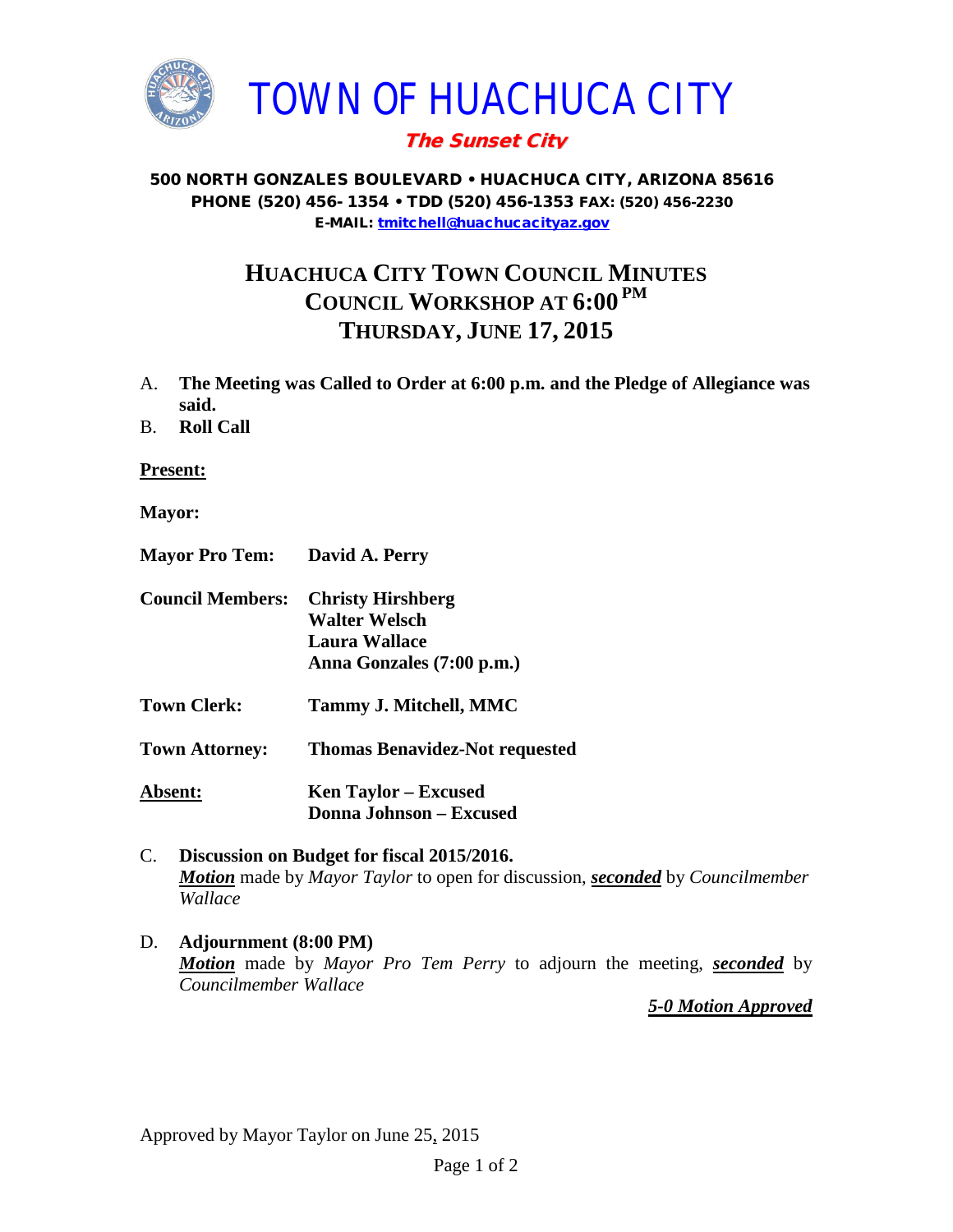

## The Sunset City

## 500 NORTH GONZALES BOULEVARD • HUACHUCA CITY, ARIZONA 85616 PHONE (520) 456- 1354 • TDD (520) 456-1353 FAX: (520) 456-2230 E-MAIL: [tmitchell@huachucacityaz.gov](mailto:tmitchell@huachucacityaz.gov)

## **HUACHUCA CITY TOWN COUNCIL MINUTES COUNCIL WORKSHOP AT 6:00 PM THURSDAY, JUNE 17, 2015**

- A. **The Meeting was Called to Order at 6:00 p.m. and the Pledge of Allegiance was said.**
- B. **Roll Call**

**Present:**

- **Mayor:**
- **Mayor Pro Tem: David A. Perry**
- **Council Members: Christy Hirshberg Walter Welsch Laura Wallace Anna Gonzales (7:00 p.m.)**
- **Town Clerk: Tammy J. Mitchell, MMC**

**Town Attorney: Thomas Benavidez-Not requested**

**Absent: Donna Johnson – Excused Ken Taylor – Excused**

- C. **Discussion on Budget for fiscal 2015/2016.** *Motion* made by *Mayor Taylor* to open for discussion, *seconded* by *Councilmember Wallace*
- D. **Adjournment (8:00 PM)** *Motion* made by *Mayor Pro Tem Perry* to adjourn the meeting, *seconded* by *Councilmember Wallace*

*5-0 Motion Approved*